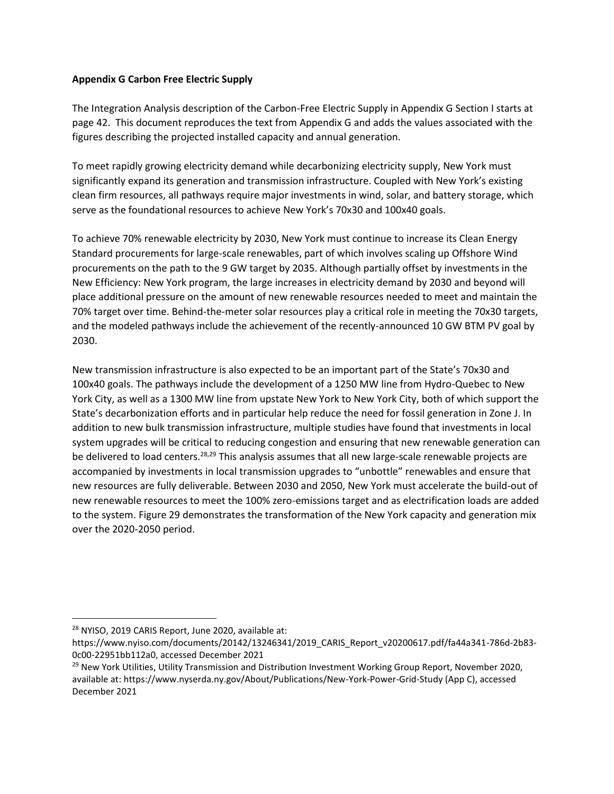#### **Appendix G Carbon Free Electric Supply**

The Integration Analysis description of the Carbon-Free Electric Supply in Appendix G Section I starts at page 42. This document reproduces the text from Appendix G and adds the values associated with the figures describing the projected installed capacity and annual generation.

To meet rapidly growing electricity demand while decarbonizing electricity supply, New York must significantly expand its generation and transmission infrastructure. Coupled with New York's existing clean firm resources, all pathways require major investments in wind, solar, and battery storage, which serve as the foundational resources to achieve New York's 70x30 and 100x40 goals.

To achieve 70% renewable electricity by 2030, New York must continue to increase its Clean Energy Standard procurements for large-scale renewables, part of which involves scaling up Offshore Wind procurements on the path to the 9 GW target by 2035. Although partially offset by investments in the New Efficiency: New York program, the large increases in electricity demand by 2030 and beyond will place additional pressure on the amount of new renewable resources needed to meet and maintain the 70% target over time. Behind-the-meter solar resources play a critical role in meeting the 70x30 targets, and the modeled pathways include the achievement of the recently-announced 10 GW BTM PV goal by 2030.

New transmission infrastructure is also expected to be an important part of the State's 70x30 and 100x40 goals. The pathways include the development of a 1250 MW line from Hydro-Quebec to New York City, as well as a 1300 MW line from upstate New York to New York City, both of which support the State's decarbonization efforts and in particular help reduce the need for fossil generation in Zone J. In addition to new bulk transmission infrastructure, multiple studies have found that investments in local system upgrades will be critical to reducing congestion and ensuring that new renewable generation can be delivered to load centers.<sup>28,29</sup> This analysis assumes that all new large-scale renewable projects are accompanied by investments in local transmission upgrades to "unbottle" renewables and ensure that new resources are fully deliverable. Between 2030 and 2050, New York must accelerate the build-out of new renewable resources to meet the 100% zero-emissions target and as electrification loads are added to the system. Figure 29 demonstrates the transformation of the New York capacity and generation mix over the 2020-2050 period.

<sup>28</sup> NYISO, 2019 CARIS Report, June 2020, available at:

https://www.nyiso.com/documents/20142/13246341/2019\_CARIS\_Report\_v20200617.pdf/fa44a341-786d-2b83- 0c00-22951bb112a0, accessed December 2021

<sup>&</sup>lt;sup>29</sup> New York Utilities, Utility Transmission and Distribution Investment Working Group Report, November 2020, available at: https://www.nyserda.ny.gov/About/Publications/New-York-Power-Grid-Study (App C), accessed December 2021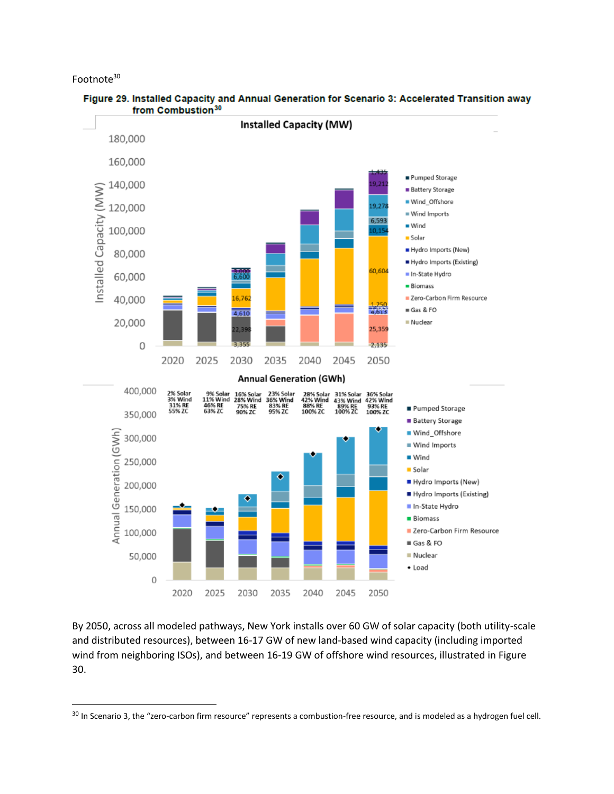Footnote<sup>30</sup>



Figure 29. Installed Capacity and Annual Generation for Scenario 3: Accelerated Transition away from Combustion<sup>30</sup>

By 2050, across all modeled pathways, New York installs over 60 GW of solar capacity (both utility-scale and distributed resources), between 16-17 GW of new land-based wind capacity (including imported wind from neighboring ISOs), and between 16-19 GW of offshore wind resources, illustrated in Figure 30.

<sup>&</sup>lt;sup>30</sup> In Scenario 3, the "zero-carbon firm resource" represents a combustion-free resource, and is modeled as a hydrogen fuel cell.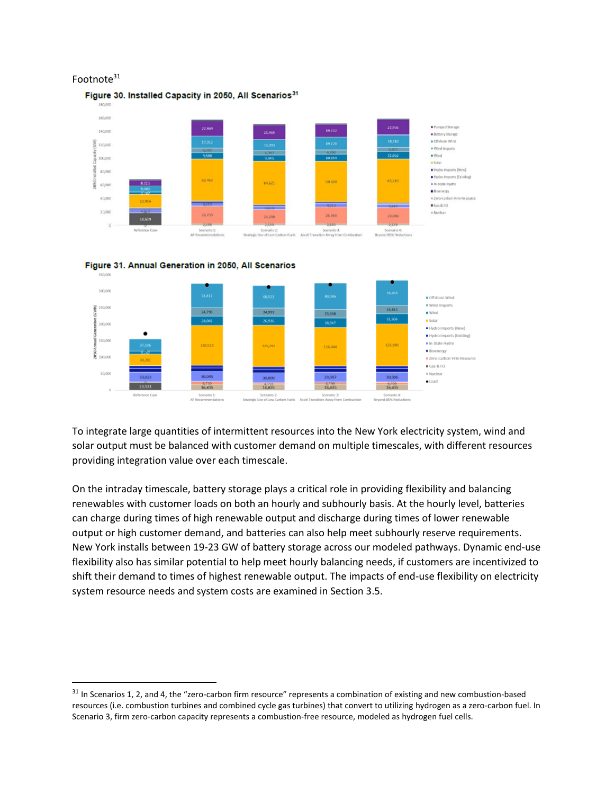#### Footnote<sup>31</sup>





To integrate large quantities of intermittent resources into the New York electricity system, wind and solar output must be balanced with customer demand on multiple timescales, with different resources providing integration value over each timescale.

On the intraday timescale, battery storage plays a critical role in providing flexibility and balancing renewables with customer loads on both an hourly and subhourly basis. At the hourly level, batteries can charge during times of high renewable output and discharge during times of lower renewable output or high customer demand, and batteries can also help meet subhourly reserve requirements. New York installs between 19-23 GW of battery storage across our modeled pathways. Dynamic end-use flexibility also has similar potential to help meet hourly balancing needs, if customers are incentivized to shift their demand to times of highest renewable output. The impacts of end-use flexibility on electricity system resource needs and system costs are examined in Section 3.5.

<sup>&</sup>lt;sup>31</sup> In Scenarios 1, 2, and 4, the "zero-carbon firm resource" represents a combination of existing and new combustion-based resources (i.e. combustion turbines and combined cycle gas turbines) that convert to utilizing hydrogen as a zero-carbon fuel. In Scenario 3, firm zero-carbon capacity represents a combustion-free resource, modeled as hydrogen fuel cells.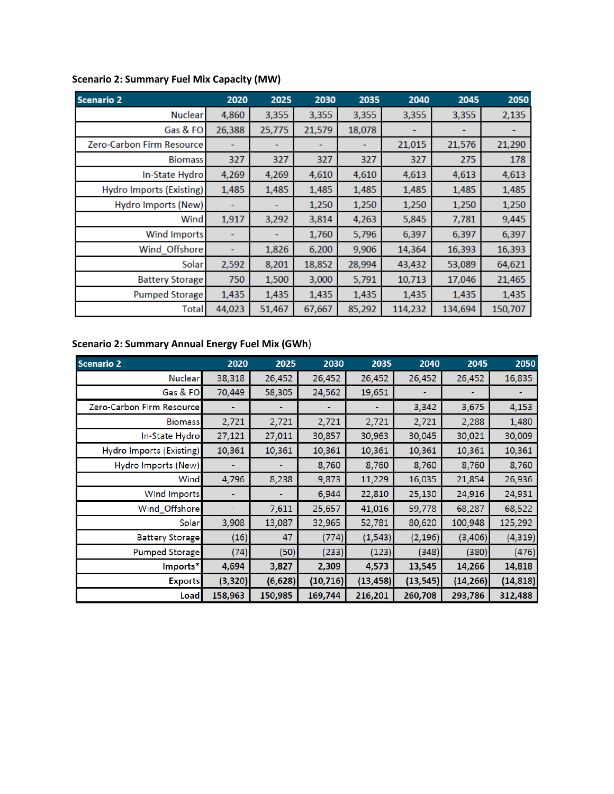| <b>Scenario 2</b>         | 2020   | 2025   | 2030   | 2035   | 2040    | 2045    | 2050    |
|---------------------------|--------|--------|--------|--------|---------|---------|---------|
| Nuclear                   | 4,860  | 3,355  | 3,355  | 3,355  | 3,355   | 3,355   | 2,135   |
| Gas & FO                  | 26,388 | 25,775 | 21,579 | 18,078 |         |         |         |
| Zero-Carbon Firm Resource |        |        |        |        | 21,015  | 21,576  | 21,290  |
| <b>Biomass</b>            | 327    | 327    | 327    | 327    | 327     | 275     | 178     |
| In-State Hydro            | 4,269  | 4,269  | 4,610  | 4,610  | 4,613   | 4,613   | 4,613   |
| Hydro Imports (Existing)  | 1,485  | 1,485  | 1,485  | 1,485  | 1,485   | 1,485   | 1,485   |
| Hydro Imports (New)       |        |        | 1,250  | 1,250  | 1,250   | 1,250   | 1,250   |
| Wind                      | 1,917  | 3,292  | 3,814  | 4,263  | 5,845   | 7,781   | 9,445   |
| <b>Wind Imports</b>       |        |        | 1,760  | 5,796  | 6,397   | 6,397   | 6,397   |
| Wind Offshore             |        | 1,826  | 6,200  | 9,906  | 14,364  | 16,393  | 16,393  |
| Solar                     | 2,592  | 8,201  | 18,852 | 28,994 | 43,432  | 53,089  | 64,621  |
| <b>Battery Storage</b>    | 750    | 1,500  | 3,000  | 5,791  | 10,713  | 17,046  | 21,465  |
| <b>Pumped Storage</b>     | 1,435  | 1,435  | 1,435  | 1,435  | 1,435   | 1,435   | 1,435   |
| Total                     | 44,023 | 51,467 | 67,667 | 85,292 | 114,232 | 134,694 | 150,707 |

# **Scenario 2: Summary Fuel Mix Capacity (MW)**

# **Scenario 2: Summary Annual Energy Fuel Mix (GWh**)

| <b>Scenario 2</b>         | 2020     | 2025     | 2030      | 2035      | 2040      | 2045      | 2050      |
|---------------------------|----------|----------|-----------|-----------|-----------|-----------|-----------|
| <b>Nuclear</b>            | 38,318   | 26,452   | 26,452    | 26,452    | 26,452    | 26,452    | 16,835    |
| Gas & FO                  | 70,449   | 58,305   | 24,562    | 19,651    |           |           |           |
| Zero-Carbon Firm Resource |          |          |           |           | 3,342     | 3,675     | 4,153     |
| <b>Biomass</b>            | 2,721    | 2,721    | 2,721     | 2,721     | 2,721     | 2,288     | 1,480     |
| In-State Hydro            | 27,121   | 27,011   | 30,857    | 30,963    | 30,045    | 30,021    | 30,009    |
| Hydro Imports (Existing)  | 10,361   | 10,361   | 10,361    | 10,361    | 10,361    | 10,361    | 10,361    |
| Hydro Imports (New)       |          |          | 8,760     | 8,760     | 8,760     | 8,760     | 8,760     |
| Wind                      | 4,796    | 8,238    | 9,873     | 11,229    | 16,035    | 21,854    | 26,936    |
| Wind Imports              |          |          | 6,944     | 22,810    | 25,130    | 24,916    | 24,931    |
| Wind_Offshore             |          | 7,611    | 25,657    | 41,016    | 59,778    | 68,287    | 68,522    |
| Solar                     | 3,908    | 13,087   | 32,965    | 52,781    | 80,620    | 100,948   | 125,292   |
| <b>Battery Storage</b>    | (16)     | 47       | (774)     | (1, 543)  | (2, 196)  | (3,406)   | (4, 319)  |
| Pumped Storage            | (74)     | (50)     | (233)     | (123)     | (348)     | (380)     | (476)     |
| Imports*                  | 4,694    | 3,827    | 2,309     | 4,573     | 13,545    | 14,266    | 14,818    |
| <b>Exports</b>            | (3, 320) | (6, 628) | (10, 716) | (13, 458) | (13, 545) | (14, 266) | (14, 818) |
| Load                      | 158,963  | 150,985  | 169,744   | 216,201   | 260,708   | 293,786   | 312,488   |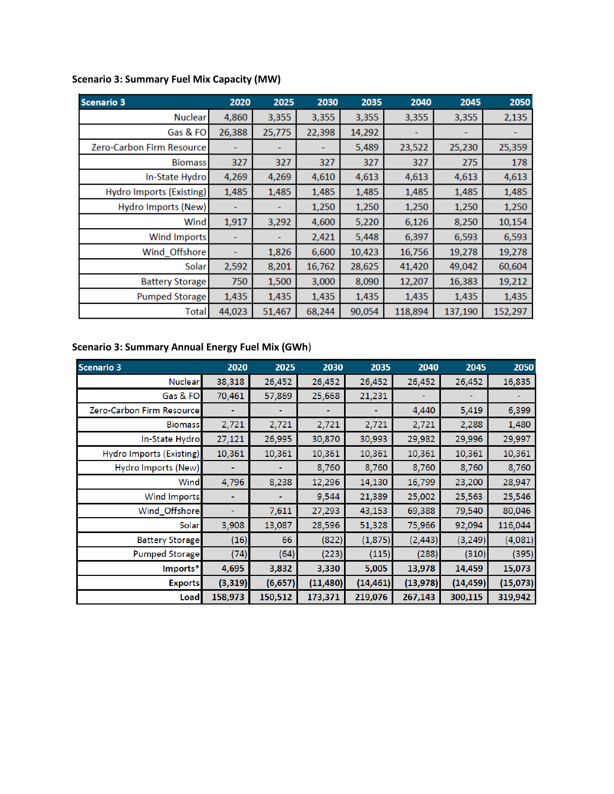| <b>Scenario 3</b>         | 2020   | 2025   | 2030   | 2035   | 2040    | 2045    | 2050    |
|---------------------------|--------|--------|--------|--------|---------|---------|---------|
| <b>Nuclear</b>            | 4,860  | 3,355  | 3,355  | 3,355  | 3,355   | 3,355   | 2,135   |
| Gas & FO                  | 26,388 | 25,775 | 22,398 | 14,292 |         |         |         |
| Zero-Carbon Firm Resource |        |        |        | 5,489  | 23,522  | 25,230  | 25,359  |
| <b>Biomass</b>            | 327    | 327    | 327    | 327    | 327     | 275     | 178     |
| In-State Hydro            | 4,269  | 4,269  | 4,610  | 4,613  | 4,613   | 4,613   | 4,613   |
| Hydro Imports (Existing)  | 1,485  | 1,485  | 1,485  | 1,485  | 1,485   | 1,485   | 1,485   |
| Hydro Imports (New)       |        |        | 1,250  | 1,250  | 1,250   | 1,250   | 1,250   |
| Wind                      | 1,917  | 3,292  | 4,600  | 5,220  | 6,126   | 8,250   | 10,154  |
| <b>Wind Imports</b>       |        |        | 2,421  | 5,448  | 6,397   | 6,593   | 6,593   |
| Wind_Offshore             |        | 1,826  | 6,600  | 10,423 | 16,756  | 19,278  | 19,278  |
| Solar                     | 2,592  | 8,201  | 16,762 | 28,625 | 41,420  | 49,042  | 60,604  |
| <b>Battery Storage</b>    | 750    | 1,500  | 3,000  | 8,090  | 12,207  | 16,383  | 19,212  |
| <b>Pumped Storage</b>     | 1,435  | 1,435  | 1,435  | 1,435  | 1,435   | 1,435   | 1,435   |
| Total                     | 44,023 | 51,467 | 68,244 | 90.054 | 118,894 | 137,190 | 152,297 |

# **Scenario 3: Summary Fuel Mix Capacity (MW)**

#### **Scenario 3: Summary Annual Energy Fuel Mix (GWh**)

| Scenario 3                | 2020     | 2025     | 2030      | 2035      | 2040      | 2045      | 2050     |
|---------------------------|----------|----------|-----------|-----------|-----------|-----------|----------|
| Nuclear                   | 38,318   | 26,452   | 26,452    | 26,452    | 26,452    | 26,452    | 16,835   |
| Gas & FO                  | 70,461   | 57,869   | 25,668    | 21,231    |           |           |          |
| Zero-Carbon Firm Resource |          |          |           |           | 4,440     | 5,419     | 6,399    |
| <b>Biomass</b>            | 2,721    | 2,721    | 2,721     | 2,721     | 2,721     | 2,288     | 1,480    |
| In-State Hydro            | 27,121   | 26,995   | 30,870    | 30,993    | 29,982    | 29,996    | 29,997   |
| Hydro Imports (Existing)  | 10,361   | 10,361   | 10,361    | 10,361    | 10,361    | 10,361    | 10,361   |
| Hydro Imports (New)       |          |          | 8,760     | 8,760     | 8,760     | 8,760     | 8,760    |
| Wind                      | 4,796    | 8,238    | 12,296    | 14,130    | 16,799    | 23,200    | 28,947   |
| Wind Imports              |          |          | 9,544     | 21,389    | 25,002    | 25,563    | 25,546   |
| Wind_Offshore             |          | 7,611    | 27,293    | 43,153    | 69,388    | 79,540    | 80,046   |
| Solar                     | 3,908    | 13,087   | 28,596    | 51,328    | 75,966    | 92,094    | 116,044  |
| <b>Battery Storage</b>    | (16)     | 66       | (822)     | (1, 875)  | (2, 443)  | (3, 249)  | (4,081)  |
| Pumped Storage            | (74)     | (64)     | (223)     | (115)     | (288)     | (310)     | (395)    |
| Imports*                  | 4,695    | 3,832    | 3,330     | 5,005     | 13,978    | 14,459    | 15,073   |
| <b>Exports</b>            | (3, 319) | (6, 657) | (11, 480) | (14, 461) | (13, 978) | (14, 459) | (15,073) |
| Load                      | 158,973  | 150,512  | 173,371   | 219,076   | 267,143   | 300,115   | 319,942  |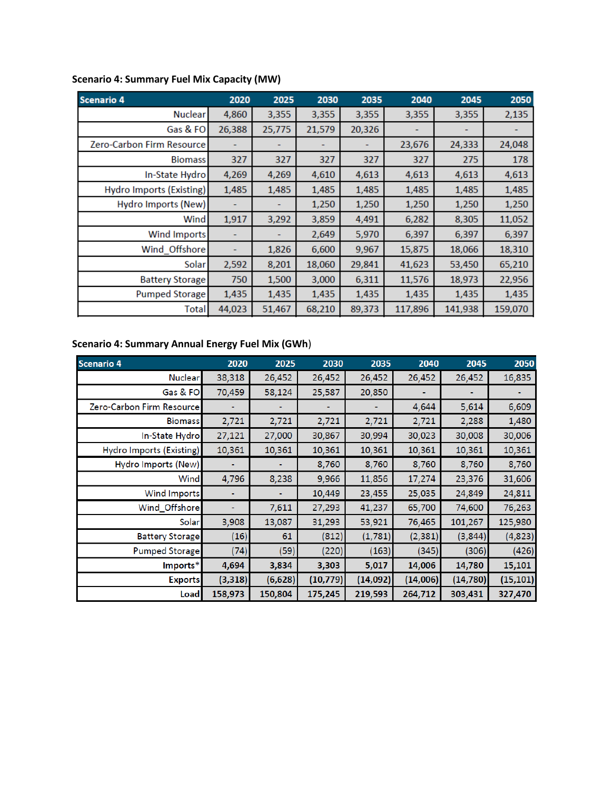| <b>Scenario 4</b>                | 2020   | 2025   | 2030   | 2035   | 2040    | 2045    | 2050    |
|----------------------------------|--------|--------|--------|--------|---------|---------|---------|
| Nuclear                          | 4,860  | 3,355  | 3,355  | 3,355  | 3,355   | 3,355   | 2,135   |
| Gas & FO                         | 26,388 | 25,775 | 21,579 | 20,326 |         |         |         |
| <b>Zero-Carbon Firm Resource</b> |        |        |        |        | 23,676  | 24,333  | 24,048  |
| <b>Biomass</b>                   | 327    | 327    | 327    | 327    | 327     | 275     | 178     |
| In-State Hydro                   | 4,269  | 4,269  | 4,610  | 4,613  | 4,613   | 4,613   | 4,613   |
| <b>Hydro Imports (Existing)</b>  | 1,485  | 1,485  | 1,485  | 1,485  | 1,485   | 1,485   | 1,485   |
| <b>Hydro Imports (New)</b>       |        |        | 1,250  | 1,250  | 1,250   | 1,250   | 1,250   |
| Wind                             | 1,917  | 3,292  | 3,859  | 4,491  | 6,282   | 8,305   | 11,052  |
| <b>Wind Imports</b>              |        |        | 2,649  | 5,970  | 6,397   | 6,397   | 6,397   |
| Wind Offshore                    |        | 1,826  | 6,600  | 9,967  | 15,875  | 18,066  | 18,310  |
| <b>Solar</b>                     | 2,592  | 8,201  | 18,060 | 29,841 | 41,623  | 53,450  | 65,210  |
| <b>Battery Storage</b>           | 750    | 1,500  | 3,000  | 6,311  | 11,576  | 18,973  | 22,956  |
| <b>Pumped Storage</b>            | 1,435  | 1,435  | 1,435  | 1,435  | 1,435   | 1,435   | 1,435   |
| Totall                           | 44,023 | 51,467 | 68,210 | 89,373 | 117,896 | 141,938 | 159,070 |

# **Scenario 4: Summary Fuel Mix Capacity (MW)**

# **Scenario 4: Summary Annual Energy Fuel Mix (GWh**)

| <b>Scenario 4</b>         | 2020     | 2025     | 2030      | 2035     | 2040     | 2045      | 2050      |
|---------------------------|----------|----------|-----------|----------|----------|-----------|-----------|
| Nuclear                   | 38,318   | 26,452   | 26,452    | 26,452   | 26,452   | 26,452    | 16,835    |
| Gas & FO                  | 70,459   | 58,124   | 25,587    | 20,850   |          |           |           |
| Zero-Carbon Firm Resource |          |          |           |          | 4,644    | 5,614     | 6,609     |
| <b>Biomass</b>            | 2,721    | 2,721    | 2,721     | 2,721    | 2,721    | 2,288     | 1,480     |
| In-State Hydro            | 27,121   | 27,000   | 30,867    | 30,994   | 30,023   | 30,008    | 30,006    |
| Hydro Imports (Existing)  | 10,361   | 10,361   | 10,361    | 10,361   | 10,361   | 10,361    | 10,361    |
| Hydro Imports (New)       |          |          | 8,760     | 8,760    | 8,760    | 8,760     | 8,760     |
| Wind                      | 4,796    | 8,238    | 9,966     | 11,856   | 17,274   | 23,376    | 31,606    |
| Wind Imports              |          |          | 10,449    | 23,455   | 25,035   | 24,849    | 24,811    |
| Wind_Offshore             |          | 7,611    | 27,293    | 41,237   | 65,700   | 74,600    | 76,263    |
| Solar                     | 3,908    | 13,087   | 31,293    | 53,921   | 76,465   | 101,267   | 125,980   |
| <b>Battery Storage</b>    | (16)     | 61       | (812)     | (1,781)  | (2, 381) | (3, 844)  | (4,823)   |
| Pumped Storage            | (74)     | (59)     | (220)     | (163)    | (345)    | (306)     | (426)     |
| Imports*                  | 4,694    | 3,834    | 3,303     | 5,017    | 14,006   | 14,780    | 15,101    |
| <b>Exports</b>            | (3, 318) | (6, 628) | (10, 779) | (14,092) | (14,006) | (14, 780) | (15, 101) |
| Load                      | 158,973  | 150,804  | 175,245   | 219,593  | 264,712  | 303,431   | 327,470   |